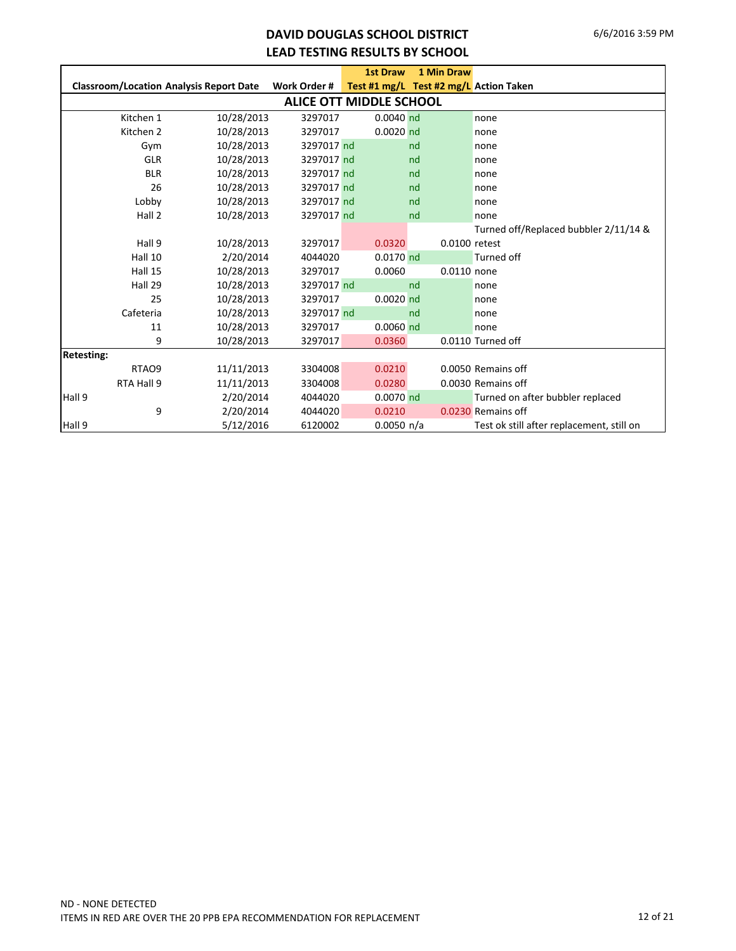#### **DAVID DOUGLAS SCHOOL DISTRICT LEAD TESTING RESULTS BY SCHOOL**

|                   |                                                |              | <b>1st Draw</b>         | 1 Min Draw                             |                                           |
|-------------------|------------------------------------------------|--------------|-------------------------|----------------------------------------|-------------------------------------------|
|                   | <b>Classroom/Location Analysis Report Date</b> | Work Order # |                         | Test #1 mg/L Test #2 mg/L Action Taken |                                           |
|                   |                                                |              | ALICE OTT MIDDLE SCHOOL |                                        |                                           |
| Kitchen 1         | 10/28/2013                                     | 3297017      | $0.0040$ nd             |                                        | none                                      |
| Kitchen 2         | 10/28/2013                                     | 3297017      | $0.0020$ nd             |                                        | none                                      |
| Gym               | 10/28/2013                                     | 3297017 nd   |                         | nd                                     | none                                      |
| <b>GLR</b>        | 10/28/2013                                     | 3297017 nd   |                         | nd                                     | none                                      |
| <b>BLR</b>        | 10/28/2013                                     | 3297017 nd   |                         | nd                                     | none                                      |
| 26                | 10/28/2013                                     | 3297017 nd   |                         | nd                                     | none                                      |
| Lobby             | 10/28/2013                                     | 3297017 nd   |                         | nd                                     | none                                      |
| Hall 2            | 10/28/2013                                     | 3297017 nd   |                         | nd                                     | none                                      |
|                   |                                                |              |                         |                                        | Turned off/Replaced bubbler 2/11/14 &     |
| Hall 9            | 10/28/2013                                     | 3297017      | 0.0320                  | 0.0100 retest                          |                                           |
| Hall 10           | 2/20/2014                                      | 4044020      | $0.0170$ nd             |                                        | Turned off                                |
| Hall 15           | 10/28/2013                                     | 3297017      | 0.0060                  | 0.0110 none                            |                                           |
| Hall 29           | 10/28/2013                                     | 3297017 nd   |                         | nd                                     | none                                      |
| 25                | 10/28/2013                                     | 3297017      | $0.0020$ nd             |                                        | none                                      |
| Cafeteria         | 10/28/2013                                     | 3297017 nd   |                         | nd                                     | none                                      |
| 11                | 10/28/2013                                     | 3297017      | $0.0060$ nd             |                                        | none                                      |
|                   | 9<br>10/28/2013                                | 3297017      | 0.0360                  |                                        | 0.0110 Turned off                         |
| <b>Retesting:</b> |                                                |              |                         |                                        |                                           |
| RTAO <sub>9</sub> | 11/11/2013                                     | 3304008      | 0.0210                  |                                        | 0.0050 Remains off                        |
| RTA Hall 9        | 11/11/2013                                     | 3304008      | 0.0280                  |                                        | 0.0030 Remains off                        |
| Hall 9            | 2/20/2014                                      | 4044020      | 0.0070 nd               |                                        | Turned on after bubbler replaced          |
|                   | 9<br>2/20/2014                                 | 4044020      | 0.0210                  |                                        | 0.0230 Remains off                        |
| Hall 9            | 5/12/2016                                      | 6120002      | 0.0050 n/a              |                                        | Test ok still after replacement, still on |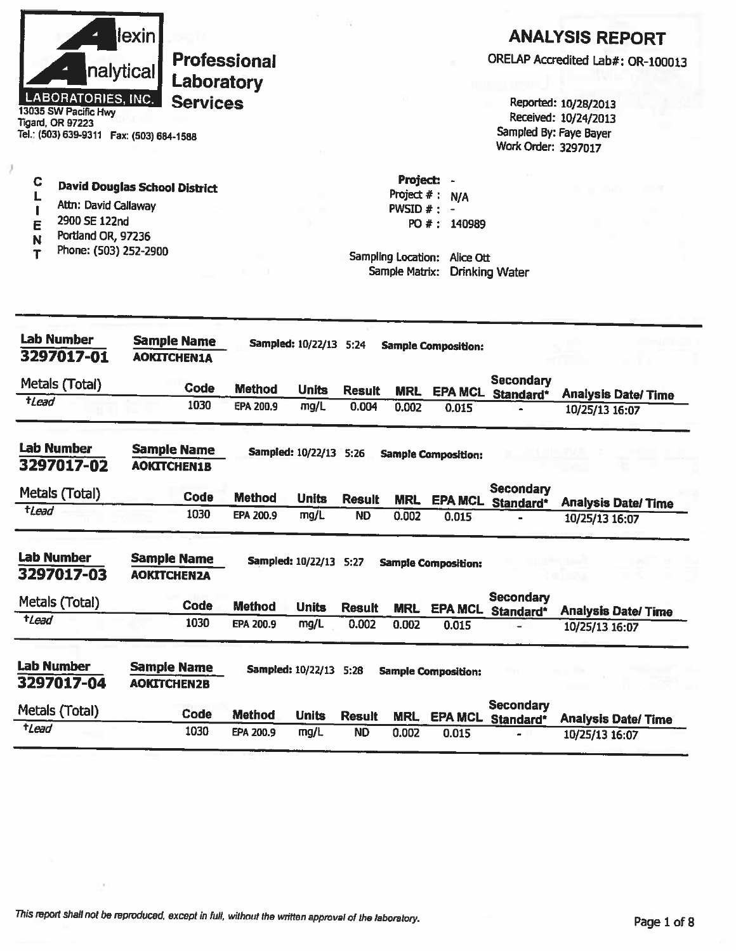|                           | llexin    |
|---------------------------|-----------|
|                           | nalytical |
| <b>LABORATORIES, INC.</b> |           |

**Services** 13035 SW Pacific Hwy Tigard, OR 97223 Tel.: (503) 639-9311 Fax: (503) 684-1588

# **ANALYSIS REPORT**

ORELAP Accredited Lab#: OR-100013

Reported: 10/28/2013 Received: 10/24/2013 Sampled By: Faye Bayer Work Order: 3297017

**David Douglas School District** 

**Professional** 

Laboratory

- L Attn: David Callaway  $\begin{array}{c} \rule{0pt}{2.5ex} \textbf{\textit{I}} \end{array}$
- 2900 SE 122nd E

 $\mathbf C$ 

- Portland OR, 97236 N
- Phone: (503) 252-2900  $\mathbf r$

Project: -Project  $#: N/A$ PWSID  $#$  : -PO #: 140989

Sampling Location: Alice Ott Sample Matrix: Drinking Water

| <b>Lab Number</b><br>3297017-01 | <b>Sample Name</b><br><b>AOKITCHEN1A</b> |               | Sampled: 10/22/13 5:24   |               |            | <b>Sample Composition:</b> |                               |                            |
|---------------------------------|------------------------------------------|---------------|--------------------------|---------------|------------|----------------------------|-------------------------------|----------------------------|
| Metals (Total)                  | Code                                     | <b>Method</b> | <b>Units</b>             | <b>Result</b> | <b>MRL</b> | <b>EPA MCL</b>             | <b>Secondary</b><br>Standard* | <b>Analysis Date/ Time</b> |
| <i><b>*Lead</b></i>             | 1030                                     | EPA 200.9     | mg/L                     | 0.004         | 0.002      | 0.015                      |                               | 10/25/13 16:07             |
| <b>Lab Number</b><br>3297017-02 | <b>Sample Name</b><br><b>AOKITCHEN1B</b> |               | Sampled: 10/22/13 5:26   |               |            | <b>Sample Composition:</b> |                               |                            |
| Metals (Total)                  | Code                                     | <b>Method</b> | <b>Units</b>             | <b>Result</b> | <b>MRL</b> | <b>EPA MCL</b>             | Secondary<br>Standard*        | <b>Analysis Date/Time</b>  |
| tLead                           | 1030                                     | EPA 200.9     | mg/L                     | <b>ND</b>     | 0.002      | 0.015                      |                               | 10/25/13 16:07             |
| <b>Lab Number</b><br>3297017-03 | <b>Sample Name</b><br><b>AOKITCHENZA</b> |               | Sampled: 10/22/13 5:27   |               |            | <b>Sample Composition:</b> |                               |                            |
| Metals (Total)                  | Code                                     | <b>Method</b> | <b>Units</b>             | <b>Result</b> | <b>MRL</b> | <b>EPA MCL</b>             | <b>Secondary</b><br>Standard* | <b>Analysis Date/Time</b>  |
| $t$ <i>Lead</i>                 | 1030                                     | EPA 200.9     | mg/L                     | 0.002         | 0.002      | 0.015                      |                               | 10/25/13 16:07             |
| <b>Lab Number</b><br>3297017-04 | <b>Sample Name</b><br><b>AOKITCHEN2B</b> |               | <b>Sampled: 10/22/13</b> | 5:28          |            | <b>Sample Composition:</b> |                               |                            |
| Metals (Total)                  | <b>Code</b>                              | <b>Method</b> | <b>Units</b>             | <b>Result</b> | <b>MRL</b> | <b>EPA MCL</b>             | <b>Secondary</b><br>Standard* | <b>Analysis Date/ Time</b> |
| <b>t</b> Lead                   | 1030                                     | EPA 200.9     | mg/L                     | <b>ND</b>     | 0.002      | 0.015                      |                               | 10/25/13 16:07             |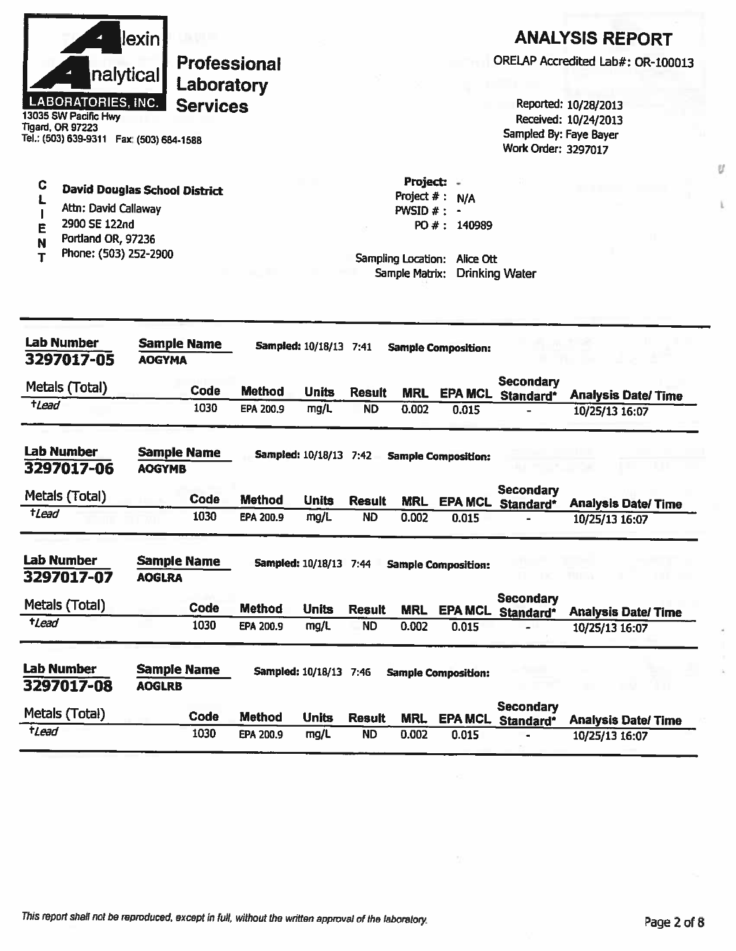| llexin <b>l</b>           |
|---------------------------|
| nalytical                 |
| <b>LABORATORIES, INC.</b> |

**Services** 13035 SW Pacific Hwy **Tigard, OR 97223** Tel.: (503) 639-9311 Fax: (503) 684-1588

# **ANALYSIS REPORT**

ORELAP Accredited Lab#: OR-100013

Reported: 10/28/2013 Received: 10/24/2013 Sampled By: Faye Bayer Work Order: 3297017

C

**Professional** Laboratory

- **David Douglas School District** L
- Attn: David Callaway  $\mathbf{I}$
- 2900 SE 122nd Ë
- Portland OR, 97236  $\mathsf{N}$
- Phone: (503) 252-2900  $\overline{\mathbf{I}}$

Project: -Project  $# : N/A$ PWSID  $#$  : -PO #: 140989

Sampling Location: Alice Ott Sample Matrix: Drinking Water

| <b>Lab Number</b><br>3297017-05 | <b>Sample Name</b><br><b>AOGYMA</b> |             |               | <b>Sampled: 10/18/13 7:41</b> |               |            | <b>Sample Composition:</b> |                               |                           |
|---------------------------------|-------------------------------------|-------------|---------------|-------------------------------|---------------|------------|----------------------------|-------------------------------|---------------------------|
| Metals (Total)                  |                                     | Code        | <b>Method</b> | <b>Units</b>                  | <b>Result</b> | <b>MRL</b> | <b>EPA MCL</b>             | <b>Secondary</b><br>Standard* | <b>Analysis Date/Time</b> |
| tLead                           |                                     | 1030        | EPA 200.9     | mg/L                          | <b>ND</b>     | 0.002      | 0.015                      |                               | 10/25/13 16:07            |
| <b>Lab Number</b><br>3297017-06 | <b>Sample Name</b><br><b>AOGYMB</b> |             |               | <b>Sampled: 10/18/13</b>      | 7:42          |            | <b>Sample Composition:</b> |                               |                           |
| Metals (Total)                  |                                     | <b>Code</b> | <b>Method</b> | <b>Units</b>                  | Result        | <b>MRL</b> | <b>EPA MCL</b>             | Secondary<br>Standard*        | <b>Analysis Date/Time</b> |
| <b>tLead</b>                    |                                     | 1030        | EPA 200.9     | mg/L                          | <b>ND</b>     | 0.002      | 0.015                      |                               | 10/25/13 16:07            |
| <b>Lab Number</b><br>3297017-07 | <b>Sample Name</b><br><b>AOGLRA</b> |             |               | <b>Sampled: 10/18/13 7:44</b> |               |            | <b>Sample Composition:</b> |                               |                           |
| Metals (Total)                  |                                     | Code        | <b>Method</b> | <b>Units</b>                  | <b>Result</b> | <b>MRL</b> | <b>EPA MCL</b>             | <b>Secondary</b><br>Standard* | <b>Analysis Date/Time</b> |
| <i>tLead</i>                    |                                     | 1030        | EPA 200.9     | mg/L                          | <b>ND</b>     | 0.002      | 0.015                      |                               | 10/25/13 16:07            |
| <b>Lab Number</b><br>3297017-08 | <b>Sample Name</b><br><b>AOGLRB</b> |             |               | Sampled: 10/18/13 7:46        |               |            | <b>Sample Composition:</b> |                               |                           |
| Metals (Total)                  |                                     | Code        | <b>Method</b> | <b>Units</b>                  | <b>Result</b> | <b>MRL</b> | <b>EPA MCL</b>             | <b>Secondary</b><br>Standard* | <b>Analysis Date/Time</b> |
| tLead                           |                                     | 1030        | EPA 200.9     | mg/L                          | <b>ND</b>     | 0.002      | 0.015                      |                               | 10/25/13 16:07            |

ï.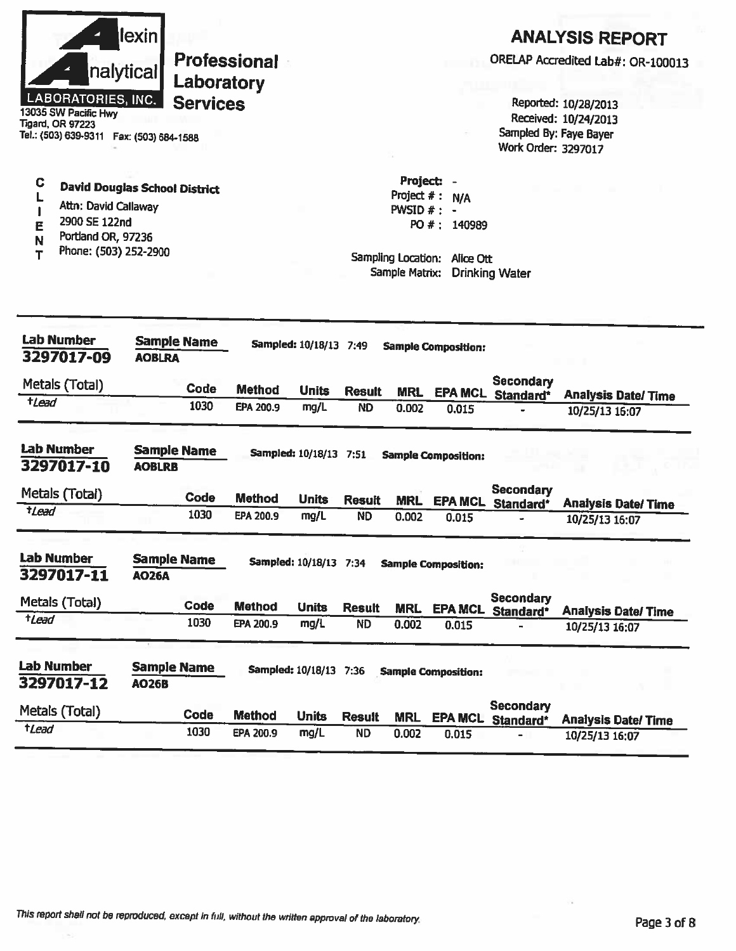|                       | nalytical<br><b>LABORATORIES, INC.</b><br>13035 SW Pacific Hwy<br><b>Tigard, OR 97223</b><br>Tel.: (503) 639-9311  Fax: (503) 684-1588 | lexin                               | Laboratory<br><b>Services</b> | <b>Professional</b> |                        |               |                                               |                                                                | Sampled By: Faye Bayer<br>Work Order: 3297017 | <b>ANALYSIS REPORT</b><br>ORELAP Accredited Lab#: OR-100013<br>Reported: 10/28/2013<br>Received: 10/24/2013 |
|-----------------------|----------------------------------------------------------------------------------------------------------------------------------------|-------------------------------------|-------------------------------|---------------------|------------------------|---------------|-----------------------------------------------|----------------------------------------------------------------|-----------------------------------------------|-------------------------------------------------------------------------------------------------------------|
| C<br>L<br>E<br>N<br>т | <b>David Douglas School District</b><br>Attn: David Callaway<br>2900 SE 122nd<br>Portland OR, 97236<br>Phone: (503) 252-2900           |                                     |                               |                     |                        |               | Project: -<br>PWSID $#$ : -<br>Sample Matrix: | Project #: N/A<br>PO #: 140989<br>Sampling Location: Alice Ott | <b>Drinking Water</b>                         |                                                                                                             |
|                       | <b>Lab Number</b><br>3297017-09                                                                                                        | <b>AOBLRA</b>                       | <b>Sample Name</b>            |                     | Sampled: 10/18/13 7:49 |               |                                               | <b>Sample Composition:</b>                                     |                                               |                                                                                                             |
|                       | Metals (Total)                                                                                                                         |                                     | Code                          | <b>Method</b>       | <b>Units</b>           | <b>Result</b> |                                               |                                                                | <b>Secondary</b>                              |                                                                                                             |
| $t$ <i>Lead</i>       |                                                                                                                                        |                                     | 1030                          | EPA 200.9           | mg/L                   | <b>ND</b>     | <b>MRL</b><br>0.002                           | 0.015                                                          | <b>EPA MCL Standard*</b>                      | <b>Analysis Date/Time</b><br>10/25/13 16:07                                                                 |
|                       | <b>Lab Number</b><br>3297017-10                                                                                                        | <b>Sample Name</b><br><b>AOBLRB</b> |                               |                     | Sampled: 10/18/13 7:51 |               |                                               | <b>Sample Composition:</b>                                     |                                               |                                                                                                             |
|                       | Metals (Total)                                                                                                                         |                                     | <b>Code</b>                   | <b>Method</b>       | <b>Units</b>           | <b>Result</b> | <b>MRL</b>                                    |                                                                | <b>Secondary</b>                              |                                                                                                             |
| +Lead                 |                                                                                                                                        |                                     | 1030                          | EPA 200.9           | mg/L                   | <b>ND</b>     | 0.002                                         | <b>EPA MCL</b><br>0.015                                        | Standard*                                     | <b>Analysis Date/ Time</b><br>10/25/13 16:07                                                                |
| <b>Lab Number</b>     |                                                                                                                                        |                                     |                               |                     |                        |               |                                               |                                                                |                                               |                                                                                                             |
|                       | 3297017-11                                                                                                                             | <b>Sample Name</b><br><b>AO26A</b>  |                               |                     | Sampled: 10/18/13 7:34 |               |                                               | <b>Sample Composition:</b>                                     |                                               |                                                                                                             |
|                       | Metals (Total)                                                                                                                         |                                     | Code                          | <b>Method</b>       | <b>Units</b>           | <b>Result</b> | <b>MRL</b>                                    | <b>EPA MCL</b>                                                 | <b>Secondary</b>                              |                                                                                                             |
| tLead                 |                                                                                                                                        |                                     | 1030                          | EPA 200.9           | mg/L                   | <b>ND</b>     | 0.002                                         | 0.015                                                          | Standard*                                     | <b>Analysis Date/Time</b><br>10/25/13 16:07                                                                 |
|                       | <b>Lab Number</b><br>3297017-12                                                                                                        | <b>Sample Name</b><br><b>AO26B</b>  |                               |                     | Sampled: 10/18/13 7:36 |               |                                               | <b>Sample Composition:</b>                                     |                                               |                                                                                                             |
| tLead                 | Metals (Total)                                                                                                                         |                                     | Code                          | <b>Method</b>       | <b>Units</b>           | <b>Result</b> | <b>MRL</b>                                    | <b>EPA MCL</b>                                                 | <b>Secondary</b><br>Standard*                 | <b>Analysis Date/Time</b>                                                                                   |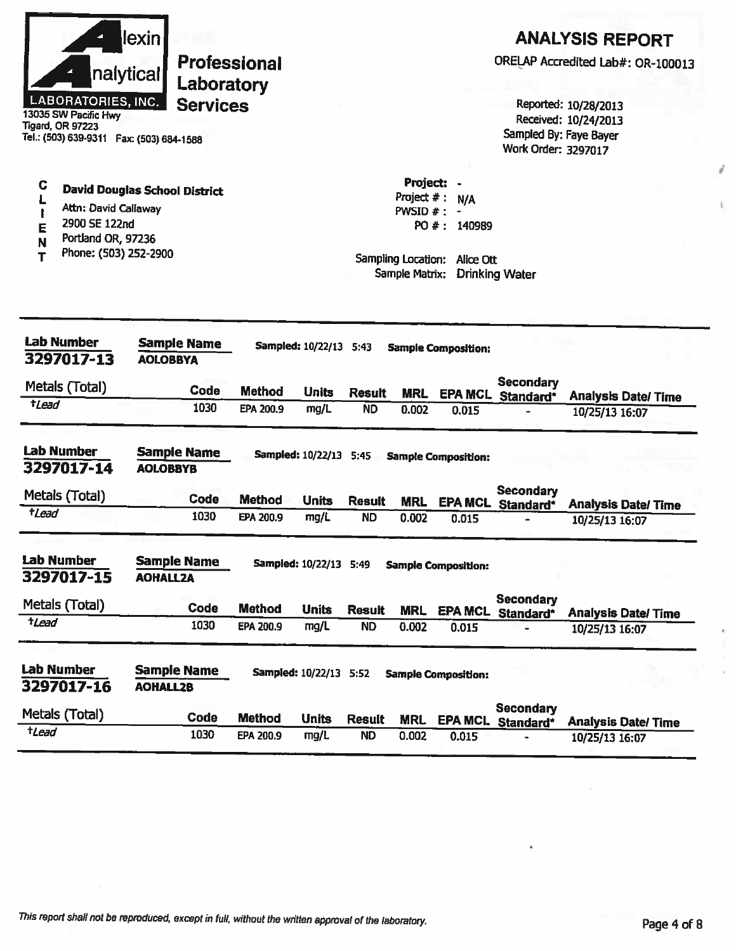|                  | nalytical<br><b>LABORATORIES, INC.</b><br>13035 SW Pacific Hwy<br><b>Tigard, OR 97223</b><br>Tel.: (503) 639-9311  Fax: (503) 684-1588 | <u>lexin</u>                          | Laboratory<br><b>Services</b> | <b>Professional</b> |                        |                                                                                 |                                                           |                            | Work Order: 3297017                          | <b>ANALYSIS REPORT</b><br>ORELAP Accredited Lab#: OR-100013<br>Reported: 10/28/2013<br>Received: 10/24/2013<br>Sampled By: Faye Bayer |
|------------------|----------------------------------------------------------------------------------------------------------------------------------------|---------------------------------------|-------------------------------|---------------------|------------------------|---------------------------------------------------------------------------------|-----------------------------------------------------------|----------------------------|----------------------------------------------|---------------------------------------------------------------------------------------------------------------------------------------|
| C<br>Е<br>Ν<br>т | <b>David Douglas School District</b><br>Attn: David Callaway<br>2900 SE 122nd<br>Portland OR, 97236<br>Phone: (503) 252-2900           |                                       |                               |                     |                        | Project:<br>Project $#:$<br>$PWSID$ # :<br>Sampling Location:<br>Sample Matrix: | N/A<br>$\blacksquare$<br>PO #: 140989<br><b>Alice Ott</b> | <b>Drinking Water</b>      |                                              |                                                                                                                                       |
|                  | <b>Lab Number</b><br>3297017-13                                                                                                        | <b>Sample Name</b><br><b>AOLOBBYA</b> |                               |                     | Sampled: 10/22/13 5:43 |                                                                                 |                                                           | <b>Sample Composition:</b> |                                              |                                                                                                                                       |
|                  | Metals (Total)                                                                                                                         |                                       | Code                          | <b>Method</b>       | <b>Units</b>           | <b>Result</b>                                                                   | <b>MRL</b>                                                |                            | Secondary<br>EPA MCL Standard*               | <b>Analysis Date/ Time</b>                                                                                                            |
| $t$ Lead         |                                                                                                                                        |                                       | 1030                          | EPA 200.9           | mg/L                   | <b>ND</b>                                                                       | 0.002                                                     | 0.015                      |                                              | 10/25/13 16:07                                                                                                                        |
|                  | <b>Lab Number</b><br>3297017-14                                                                                                        | <b>Sample Name</b><br><b>AOLOBBYB</b> |                               |                     | Sampled: 10/22/13 5:45 |                                                                                 |                                                           | <b>Sample Composition:</b> |                                              |                                                                                                                                       |
|                  | Metals (Total)                                                                                                                         |                                       | Code                          | <b>Method</b>       | <b>Units</b>           | <b>Result</b>                                                                   | <b>MRL</b>                                                |                            | <b>Secondary</b><br><b>EPA MCL Standard*</b> | <b>Analysis Date/Time</b>                                                                                                             |
| <b>t</b> Lead    |                                                                                                                                        |                                       | 1030                          | EPA 200.9           | mg/L                   | <b>ND</b>                                                                       | 0.002                                                     | 0.015                      |                                              | 10/25/13 16:07                                                                                                                        |
|                  | <b>Lab Number</b><br>3297017-15                                                                                                        | <b>Sample Name</b><br><b>AOHALL2A</b> |                               |                     | Sampled: 10/22/13 5:49 |                                                                                 |                                                           | <b>Sample Composition:</b> |                                              |                                                                                                                                       |
|                  | Metals (Total)                                                                                                                         |                                       | Code                          | <b>Method</b>       | <b>Units</b>           | <b>Result</b>                                                                   | <b>MRL</b>                                                | <b>EPA MCL</b>             | <b>Secondary</b><br>Standard*                | <b>Analysis Date/ Time</b>                                                                                                            |
| tLead            |                                                                                                                                        |                                       | 1030                          | EPA 200.9           | mg/L                   | <b>ND</b>                                                                       | 0.002                                                     | 0.015                      |                                              | 10/25/13 16:07                                                                                                                        |
|                  | <b>Lab Number</b><br>3297017-16                                                                                                        | <b>Sample Name</b><br><b>AOHALL2B</b> |                               |                     | Sampled: 10/22/13 5:52 |                                                                                 |                                                           | <b>Sample Composition:</b> |                                              |                                                                                                                                       |
|                  | Metals (Total)                                                                                                                         |                                       | <b>Code</b>                   | <b>Method</b>       | <b>Units</b>           | <b>Result</b>                                                                   | <b>MRL</b>                                                | <b>EPA MCL</b>             | <b>Secondary</b><br>Standard*                | <b>Analysis Date/Time</b>                                                                                                             |
| tLead            |                                                                                                                                        |                                       | 1030                          | EPA 200.9           | mg/L                   | <b>ND</b>                                                                       | 0.002                                                     | 0.015                      |                                              | 10/25/13 16:07                                                                                                                        |

í,

î.

 $\mathbf{l}_i$ 

×

i,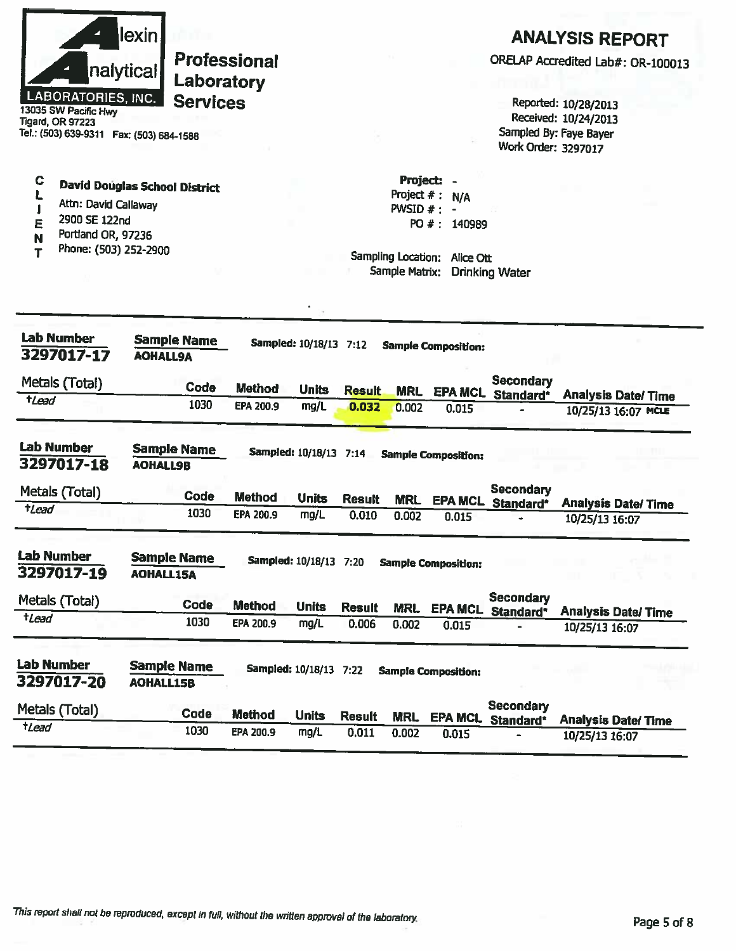| LABORATORIES, INC.<br>13035 SW Pacific Hwy<br><b>Tigard, OR 97223</b><br>Tel.: (503) 639-9311  Fax: (503) 684-1588 | <u>lexin</u><br>nalytical<br>Laboratory<br><b>Services</b> | <b>Professional</b> |                        |               |                                              |                                                                   | Work Order: 3297017                   | <b>ANALYSIS REPORT</b><br>ORELAP Accredited Lab#: OR-100013<br>Reported: 10/28/2013<br>Received: 10/24/2013<br>Sampled By: Faye Bayer |
|--------------------------------------------------------------------------------------------------------------------|------------------------------------------------------------|---------------------|------------------------|---------------|----------------------------------------------|-------------------------------------------------------------------|---------------------------------------|---------------------------------------------------------------------------------------------------------------------------------------|
| C<br>Ł<br>Attn: David Callaway<br>2900 SE 122nd<br>Ε<br>Portland OR, 97236<br>N<br>Phone: (503) 252-2900           | <b>David Douglas School District</b>                       |                     |                        |               | Project: -<br>PWSID $#: -$<br>Sample Matrix: | Project $# : N/A$<br>PO #: 140989<br>Sampling Location: Alice Ott | <b>Drinking Water</b>                 |                                                                                                                                       |
| <b>Lab Number</b><br>3297017-17                                                                                    | <b>Sample Name</b><br><b>AOHALL9A</b>                      |                     | Sampled: 10/18/13 7:12 |               |                                              | <b>Sample Composition:</b>                                        |                                       |                                                                                                                                       |
| Metals (Total)                                                                                                     | Code                                                       | <b>Method</b>       | <b>Units</b>           | <b>Result</b> | <b>MRL</b>                                   |                                                                   | <b>Secondary</b><br>EPA MCL Standard* | <b>Analysis Date/Time</b>                                                                                                             |
| $t$ <i>Lead</i>                                                                                                    | 1030                                                       | EPA 200.9           | mg/L                   | 0.032         | 0.002                                        | 0.015                                                             |                                       | 10/25/13 16:07 MCLE                                                                                                                   |
| <b>Lab Number</b><br>3297017-18                                                                                    | <b>Sample Name</b><br><b>AOHALL9B</b>                      |                     | Sampled: 10/18/13 7:14 |               |                                              | <b>Sample Composition:</b>                                        |                                       |                                                                                                                                       |
| Metals (Total)                                                                                                     | Code                                                       | <b>Method</b>       | <b>Units</b>           | <b>Result</b> | <b>MRL</b>                                   | <b>EPA MCL</b>                                                    | <b>Secondary</b><br>Standard*         |                                                                                                                                       |
| tLead                                                                                                              | 1030                                                       | EPA 200.9           | mg/L                   | 0.010         | 0.002                                        | 0.015                                                             |                                       | <b>Analysis Date/ Time</b><br>10/25/13 16:07                                                                                          |
| <b>Lab Number</b><br>3297017-19                                                                                    | <b>Sample Name</b><br><b>AOHALL15A</b>                     |                     | Sampled: 10/18/13 7:20 |               |                                              | <b>Sample Composition:</b>                                        |                                       |                                                                                                                                       |
| Metals (Total)                                                                                                     | <b>Code</b>                                                | <b>Method</b>       | <b>Units</b>           | <b>Result</b> | <b>MRL</b>                                   |                                                                   | <b>Secondary</b><br>EPA MCL Standard* | <b>Analysis Date/Time</b>                                                                                                             |
| $t$ <i>Lead</i>                                                                                                    | 1030                                                       | EPA 200.9           | mg/L                   | 0.006         | 0.002                                        | 0.015                                                             |                                       | 10/25/13 16:07                                                                                                                        |
| <b>Lab Number</b><br>3297017-20                                                                                    | <b>Sample Name</b><br><b>AOHALL15B</b>                     |                     | Sampled: 10/18/13 7:22 |               |                                              | <b>Sample Composition:</b>                                        |                                       |                                                                                                                                       |
| Metals (Total)                                                                                                     | Code                                                       | <b>Method</b>       | <b>Units</b>           | <b>Result</b> | <b>MRL</b>                                   | <b>EPA MCL</b>                                                    | <b>Secondary</b><br>Standard*         | <b>Analysis Date/Time</b>                                                                                                             |
| $t$ <i>Lead</i>                                                                                                    | 1030                                                       | EPA 200.9           | mg/L                   | 0.011         | 0.002                                        | 0.015                                                             |                                       | 10/25/13 16:07                                                                                                                        |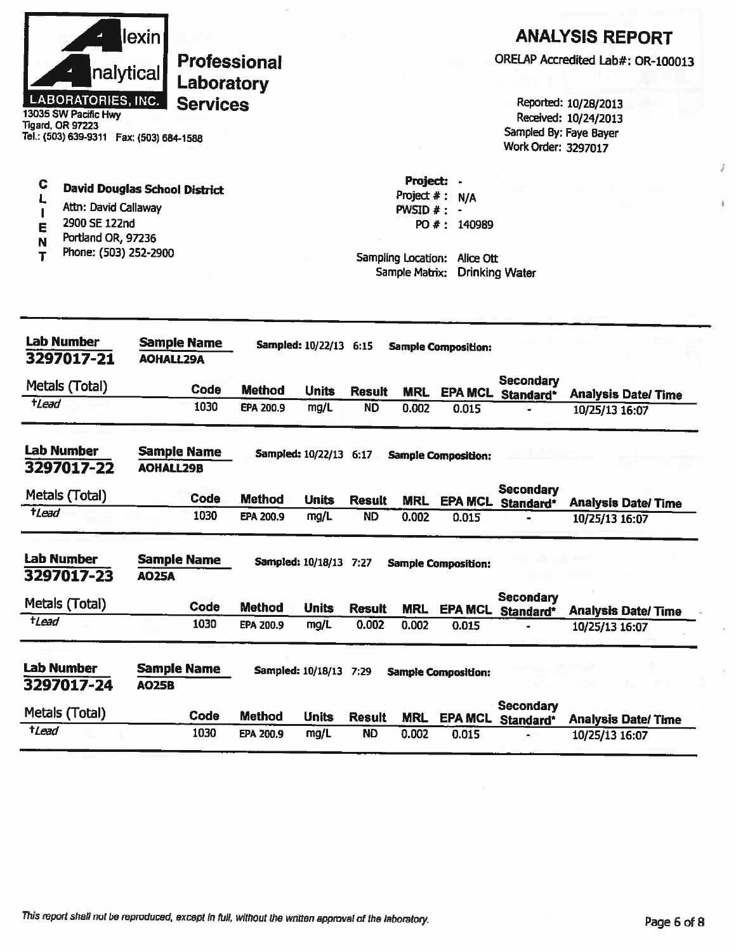| Tigard, OR 97223         | nalytical<br>LABORATORIES, INC.<br>13035 SW Pacific Hwy<br>Tel.: (503) 639-9311  Fax: (503) 684-1588                         | lexin            | <b>Professional</b><br>Laboratory<br><b>Services</b> |                  |                               |               |                                                                                  |                                  | Sampled By: Faye Bayer<br>Work Order: 3297017 | <b>ANALYSIS REPORT</b><br>ORELAP Accredited Lab#: OR-100013<br>Reported: 10/28/2013<br>Received: 10/24/2013 |
|--------------------------|------------------------------------------------------------------------------------------------------------------------------|------------------|------------------------------------------------------|------------------|-------------------------------|---------------|----------------------------------------------------------------------------------|----------------------------------|-----------------------------------------------|-------------------------------------------------------------------------------------------------------------|
| C<br>E<br>N<br>т         | <b>David Douglas School District</b><br>Attn: David Callaway<br>2900 SE 122nd<br>Portland OR, 97236<br>Phone: (503) 252-2900 |                  |                                                      |                  |                               |               | Project:<br>Project $#$ :<br>PWSID $#$ :<br>Sampling Location:<br>Sample Matrix: | N/A<br>PO #: 140989<br>Alice Ott | <b>Drinking Water</b>                         |                                                                                                             |
| <b>Lab Number</b>        | 3297017-21                                                                                                                   | <b>AOHALL29A</b> | <b>Sample Name</b>                                   |                  | Sampled: 10/22/13 6:15        |               |                                                                                  | <b>Sample Composition:</b>       |                                               |                                                                                                             |
| Metals (Total)           |                                                                                                                              |                  | Code                                                 | <b>Method</b>    | <b>Units</b>                  | <b>Result</b> | <b>MRL</b>                                                                       |                                  | <b>Secondary</b><br>EPA MCL Standard*         | <b>Analysis Date/Time</b>                                                                                   |
| tLead                    |                                                                                                                              |                  | 1030                                                 | EPA 200.9        | mg/L                          | <b>ND</b>     | 0.002                                                                            | 0.015                            |                                               | 10/25/13 16:07                                                                                              |
| <b>Lab Number</b>        | 3297017-22                                                                                                                   | <b>AOHALL29B</b> | <b>Sample Name</b>                                   |                  | <b>Sampled: 10/22/13 6:17</b> |               |                                                                                  | <b>Sample Composition:</b>       |                                               |                                                                                                             |
| Metals (Total)           |                                                                                                                              |                  | Code                                                 | <b>Method</b>    | <b>Units</b>                  | <b>Result</b> | <b>MRL</b>                                                                       |                                  | <b>Secondary</b><br><b>EPA MCL Standard*</b>  | <b>Analysis Date/Time</b>                                                                                   |
| $t$ <i>Lead</i>          |                                                                                                                              |                  | 1030                                                 | <b>EPA 200.9</b> | mg/L                          | <b>ND</b>     | 0.002                                                                            | 0.015                            |                                               | 10/25/13 16:07                                                                                              |
| <b>Lab Number</b>        | 3297017-23                                                                                                                   | <b>AO25A</b>     | <b>Sample Name</b>                                   |                  | Sampled: 10/18/13 7:27        |               |                                                                                  | <b>Sample Composition:</b>       |                                               |                                                                                                             |
| Metals (Total)           |                                                                                                                              |                  | Code                                                 | <b>Method</b>    | <b>Units</b>                  | <b>Result</b> | <b>MRL</b>                                                                       |                                  | <b>Secondary</b><br>EPA MCL Standard*         | <b>Analysis Date/Time</b>                                                                                   |
| tLead                    |                                                                                                                              |                  | 1030                                                 | <b>EPA 200.9</b> | mg/L                          | 0.002         | 0.002                                                                            | 0.015                            |                                               | 10/25/13 16:07                                                                                              |
| Lab Number<br>3297017-24 |                                                                                                                              | <b>AO25B</b>     | <b>Sample Name</b>                                   |                  | Sampled: 10/18/13 7:29        |               |                                                                                  | <b>Sample Composition:</b>       |                                               |                                                                                                             |
| Metals (Total)           |                                                                                                                              |                  | Code                                                 | <b>Method</b>    | <b>Units</b>                  | <b>Result</b> | <b>MRL</b>                                                                       |                                  | <b>Secondary</b><br>EPA MCL Standard*         | <b>Analysis Date/Time</b>                                                                                   |
| tLead                    |                                                                                                                              |                  | 1030                                                 | EPA 200.9        | mg/L                          | <b>ND</b>     | 0.002                                                                            | 0.015                            |                                               | 10/25/13 16:07                                                                                              |

 $\tilde{J}$ 

ä.

ò.

ä.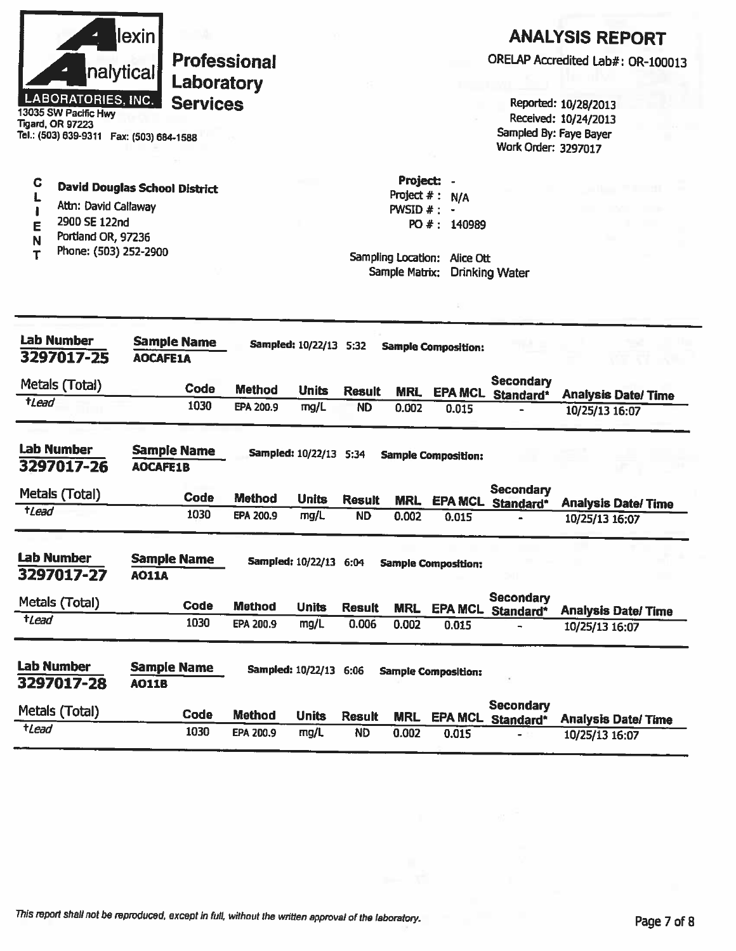|                 | nalytical<br><b>LABORATORIES, INC.</b><br>13035 SW Pacific Hwy<br><b>Tigard, OR 97223</b><br>Tel.: (503) 639-9311  Fax: (503) 684-1588 | lexinl                                | Laboratory<br><b>Services</b> | <b>Professional</b> |                        |               |                                            |                                                                                      | Work Order: 3297017                          | <b>ANALYSIS REPORT</b><br>ORELAP Accredited Lab#: OR-100013<br>Reported: 10/28/2013<br>Received: 10/24/2013<br>Sampled By: Faye Bayer |
|-----------------|----------------------------------------------------------------------------------------------------------------------------------------|---------------------------------------|-------------------------------|---------------------|------------------------|---------------|--------------------------------------------|--------------------------------------------------------------------------------------|----------------------------------------------|---------------------------------------------------------------------------------------------------------------------------------------|
| С<br>E          | <b>David Douglas School District</b><br>Attn: David Callaway<br>2900 SE 122nd<br>Portland OR, 97236<br>Phone: (503) 252-2900           |                                       |                               |                     |                        |               | Project:<br>Project $#$ :<br>$PWSID$ # : - | N/A<br>PO #: 140989<br>Sampling Location: Alice Ott<br>Sample Matrix: Drinking Water |                                              | . .                                                                                                                                   |
|                 | <b>Lab Number</b><br>3297017-25                                                                                                        | <b>Sample Name</b><br><b>AOCAFE1A</b> |                               |                     | Sampled: 10/22/13 5:32 |               |                                            | <b>Sample Composition:</b>                                                           |                                              |                                                                                                                                       |
|                 | Metals (Total)                                                                                                                         |                                       | Code                          | <b>Method</b>       | <b>Units</b>           | <b>Result</b> | <b>MRL</b>                                 |                                                                                      | <b>Secondary</b><br>EPA MCL Standard*        | <b>Analysis Date/Time</b>                                                                                                             |
| tLead           |                                                                                                                                        |                                       | 1030                          | EPA 200.9           | mg/L                   | <b>ND</b>     | 0.002                                      | 0.015                                                                                |                                              | 10/25/13 16:07                                                                                                                        |
|                 | <b>Lab Number</b><br>3297017-26                                                                                                        | <b>Sample Name</b><br><b>AOCAFE1B</b> |                               |                     | Sampled: 10/22/13 5:34 |               |                                            | <b>Sample Composition:</b>                                                           |                                              |                                                                                                                                       |
|                 | Metals (Total)                                                                                                                         |                                       | Code                          | <b>Method</b>       | <b>Units</b>           | <b>Result</b> | <b>MRL</b>                                 |                                                                                      | <b>Secondary</b><br><b>EPA MCL Standard*</b> | <b>Analysis Date/Time</b>                                                                                                             |
| tLead           |                                                                                                                                        |                                       | 1030                          | EPA 200.9           | mg/L                   | <b>ND</b>     | 0.002                                      | 0.015                                                                                |                                              | 10/25/13 16:07                                                                                                                        |
|                 | <b>Lab Number</b><br>3297017-27                                                                                                        | <b>Sample Name</b><br><b>AO11A</b>    |                               |                     | Sampled: 10/22/13 6:04 |               |                                            | <b>Sample Composition:</b>                                                           |                                              |                                                                                                                                       |
|                 | Metals (Total)                                                                                                                         |                                       | Code                          | <b>Method</b>       | <b>Units</b>           | <b>Result</b> | <b>MRL</b>                                 | <b>EPA MCL</b>                                                                       | <b>Secondary</b><br>Standard*                | <b>Analysis Date/Time</b>                                                                                                             |
| $t$ <i>Lead</i> |                                                                                                                                        |                                       | 1030                          | EPA 200.9           | mg/L                   | 0.006         | 0.002                                      | 0.015                                                                                |                                              | 10/25/13 16:07                                                                                                                        |
|                 | <b>Lab Number</b><br>3297017-28                                                                                                        | <b>Sample Name</b><br><b>AO11B</b>    |                               |                     | Sampled: 10/22/13 6:06 |               |                                            | <b>Sample Composition:</b>                                                           |                                              |                                                                                                                                       |
|                 | Metals (Total)                                                                                                                         |                                       | Code                          | <b>Method</b>       | <b>Units</b>           | <b>Result</b> | <b>MRL</b>                                 | <b>EPA MCL</b>                                                                       | <b>Secondary</b><br>Standard*                | <b>Analysis Date/Time</b>                                                                                                             |
| $t$ <i>Lead</i> |                                                                                                                                        |                                       | 1030                          | EPA 200.9           | mg/L                   | <b>ND</b>     | 0.002                                      | 0.015                                                                                |                                              | 10/25/13 16:07                                                                                                                        |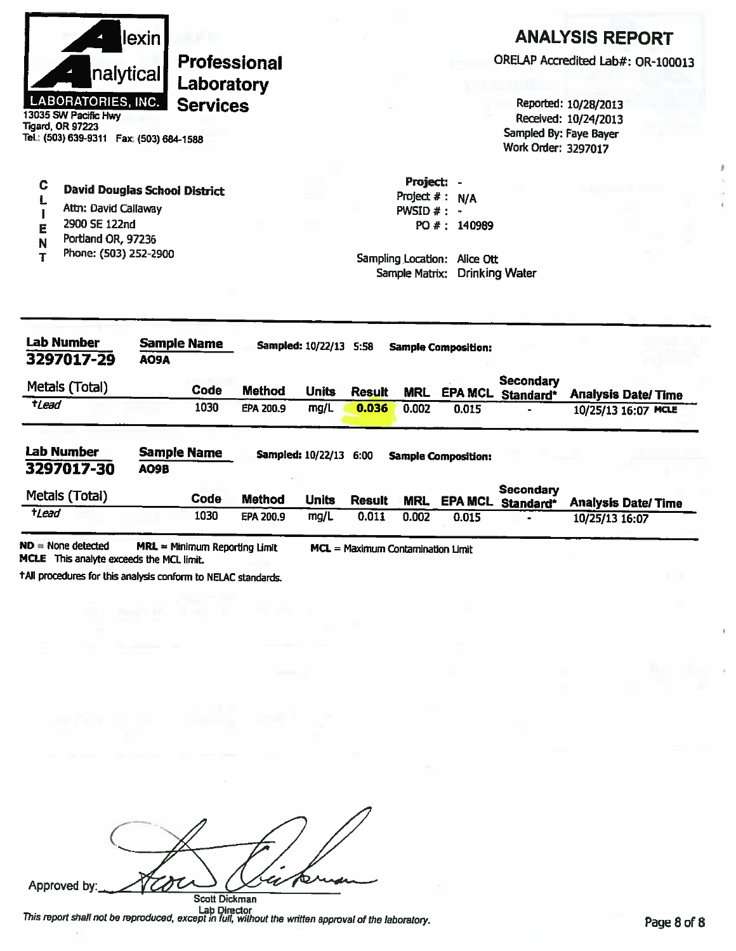

C

Ĺ

 $\mathbf{I}$ 

E

N

T

**Professional** Laboratory **Services** 

**Tigard, OR 97223** Tel.: (503) 639-9311 Fax: (503) 684-1588

Attn: David Callaway

Portland OR, 97236

Phone: (503) 252-2900

2900 SE 122nd

**David Douglas School District** 

## **ANALYSIS REPORT**

ORELAP Accredited Lab#: OR-100013

Reported: 10/28/2013 Received: 10/24/2013 Sampled By: Faye Bayer **Work Order: 3297017** 

Project: -Project  $#: N/A$ PWSID  $#: -$ PO #: 140989

Sampling Location: Alice Ott Sample Matrix: Drinking Water

| <b>Lab Number</b><br>3297017-29                                      | <b>Sample Name</b><br>AO9A |             |               | Sampled: 10/22/13 5:58 |               |            | <b>Sample Composition:</b> |                               |                           |
|----------------------------------------------------------------------|----------------------------|-------------|---------------|------------------------|---------------|------------|----------------------------|-------------------------------|---------------------------|
| Metals (Total)                                                       |                            | <b>Code</b> | <b>Method</b> | <b>Units</b>           | <b>Result</b> | <b>MRL</b> | <b>EPA MCL</b>             | <b>Secondary</b><br>Standard* | <b>Analysis Date/Time</b> |
| tLead                                                                |                            | 1030        | EPA 200.9     | mg/L                   | 0.036         | 0.002      | 0.015                      |                               | 10/25/13 16:07 MCLE       |
|                                                                      |                            |             |               |                        |               |            |                            |                               |                           |
|                                                                      | <b>Sample Name</b><br>AO9B |             |               | Sampled: 10/22/13 6:00 |               |            | <b>Sample Composition:</b> |                               |                           |
| <b>Lab Number</b><br>3297017-30<br>Metals (Total)<br>$t$ <i>Lead</i> |                            | Code        | <b>Method</b> | <b>Units</b>           | <b>Result</b> | <b>MRL</b> | <b>EPA MCL</b>             | <b>Secondary</b><br>Standard* | <b>Analysis Date/Time</b> |

+All procedures for this analysis conform to NELAC standards.

Approved by: Scott Dickman

Lab Director<br>This report shall not be reproduced, except in full, without the written approval of the laboratory.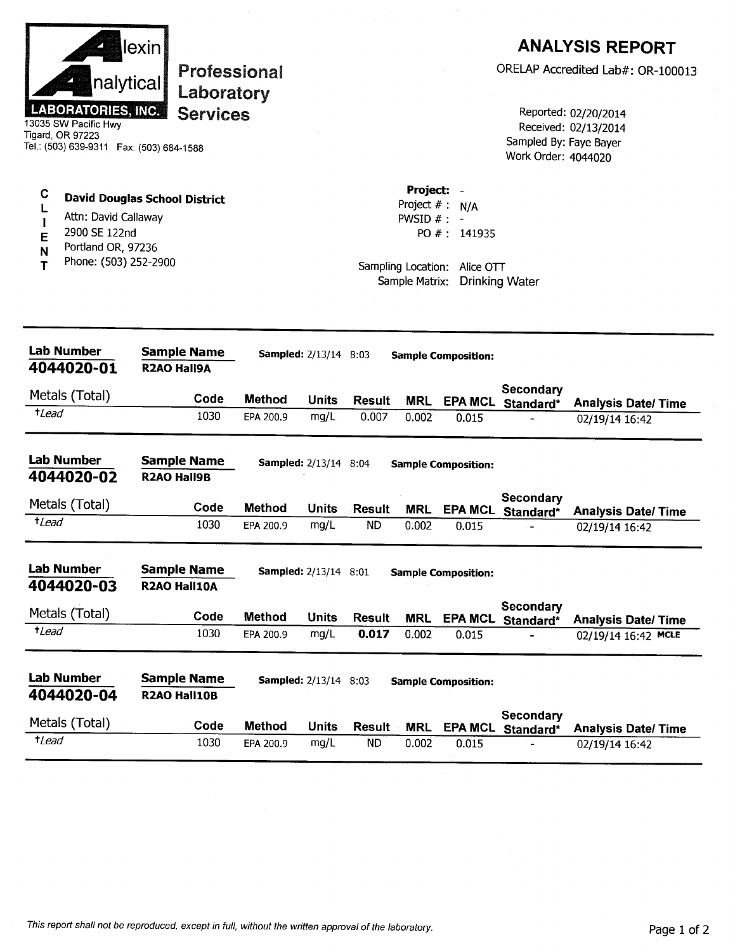|                       | nalytical<br><b>LABORATORIES, INC.</b><br>13035 SW Pacific Hwy<br>Tigard, OR 97223   | lexin <br>Professional<br>Laboratory<br><b>Services</b><br>Tel.: (503) 639-9311  Fax: (503) 684-1588 |               |                              |               |                                               |                                                                   | Sampled By: Faye Bayer<br>Work Order: 4044020 | <b>ANALYSIS REPORT</b><br>ORELAP Accredited Lab#: OR-100013<br>Reported: 02/20/2014<br>Received: 02/13/2014 |
|-----------------------|--------------------------------------------------------------------------------------|------------------------------------------------------------------------------------------------------|---------------|------------------------------|---------------|-----------------------------------------------|-------------------------------------------------------------------|-----------------------------------------------|-------------------------------------------------------------------------------------------------------------|
| C<br>L<br>Е<br>N<br>Т | Attn: David Callaway<br>2900 SE 122nd<br>Portland OR, 97236<br>Phone: (503) 252-2900 | <b>David Douglas School District</b>                                                                 |               |                              |               | Project: -<br>PWSID $# : -$<br>Sample Matrix: | Project $# : N/A$<br>PO #: 141935<br>Sampling Location: Alice OTT | <b>Drinking Water</b>                         |                                                                                                             |
|                       | Lab Number<br>4044020-01                                                             | <b>Sample Name</b><br><b>R2AO Hall9A</b>                                                             |               | <b>Sampled:</b> 2/13/14 8:03 |               |                                               | <b>Sample Composition:</b>                                        |                                               |                                                                                                             |
|                       | Metals (Total)                                                                       | Code                                                                                                 | <b>Method</b> | <b>Units</b>                 | <b>Result</b> | <b>MRL</b>                                    | <b>EPA MCL</b>                                                    | Secondary                                     |                                                                                                             |
| $t$ <i>Lead</i>       |                                                                                      | 1030                                                                                                 | EPA 200.9     | mg/L                         | 0.007         | 0.002                                         | 0.015                                                             | Standard*                                     | <b>Analysis Date/Time</b><br>02/19/14 16:42                                                                 |
|                       | <b>Lab Number</b><br>4044020-02                                                      | <b>Sample Name</b><br><b>R2AO Hall9B</b>                                                             |               | <b>Sampled:</b> 2/13/14 8:04 |               |                                               | <b>Sample Composition:</b>                                        |                                               |                                                                                                             |
|                       | Metals (Total)                                                                       | Code                                                                                                 | <b>Method</b> | <b>Units</b>                 | <b>Result</b> | <b>MRL</b>                                    | <b>EPA MCL</b>                                                    | Secondary<br>Standard*                        | <b>Analysis Date/Time</b>                                                                                   |
| <i>tLead</i>          |                                                                                      | 1030                                                                                                 | EPA 200.9     | mg/L                         | <b>ND</b>     | 0.002                                         | 0.015                                                             |                                               | 02/19/14 16:42                                                                                              |
|                       | <b>Lab Number</b><br>4044020-03                                                      | <b>Sample Name</b><br>R2AO Hall10A                                                                   |               | <b>Sampled:</b> 2/13/14 8:01 |               |                                               | <b>Sample Composition:</b>                                        |                                               |                                                                                                             |
|                       | Metals (Total)                                                                       | Code                                                                                                 | Method        | <b>Units</b>                 | <b>Result</b> | <b>MRL</b>                                    | <b>EPA MCL</b>                                                    | Secondary<br>Standard*                        | <b>Analysis Date/Time</b>                                                                                   |
| $t$ <i>Lead</i>       |                                                                                      | 1030                                                                                                 | EPA 200.9     | mg/L                         | 0.017         | 0.002                                         | 0.015                                                             |                                               | 02/19/14 16:42 MCLE                                                                                         |
|                       | <b>Lab Number</b><br>4044020-04                                                      | <b>Sample Name</b><br>R2AO Hall10B                                                                   |               | <b>Sampled:</b> 2/13/14 8:03 |               |                                               | <b>Sample Composition:</b>                                        |                                               |                                                                                                             |
|                       | Metals (Total)                                                                       | Code                                                                                                 | <b>Method</b> | <b>Units</b>                 | <b>Result</b> | <b>MRL</b>                                    | <b>EPA MCL</b>                                                    | <b>Secondary</b><br>Standard*                 | <b>Analysis Date/ Time</b>                                                                                  |
| $t$ Lead              |                                                                                      | 1030                                                                                                 | EPA 200.9     | mg/L                         | <b>ND</b>     | 0.002                                         | 0.015                                                             |                                               | 02/19/14 16:42                                                                                              |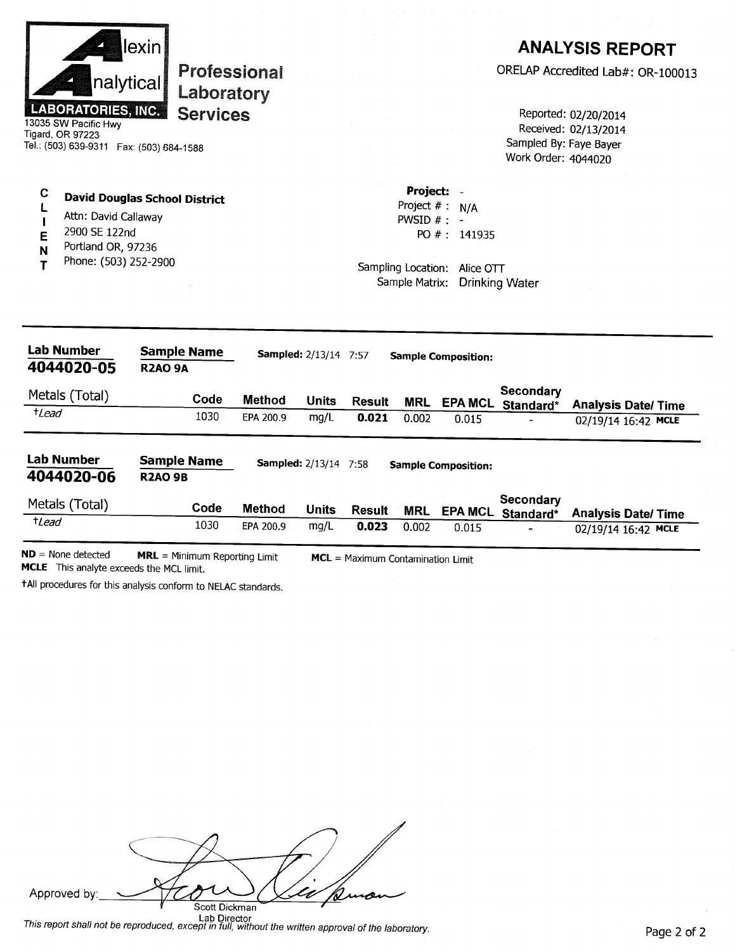| т                                                                                                                              | Phone: (503) 252-2900               |                                      |  |  |                                                  | Sampling Location: Alice OTT<br>Sample Matrix: Drinking Water |                                                                        |                                                             |  |
|--------------------------------------------------------------------------------------------------------------------------------|-------------------------------------|--------------------------------------|--|--|--------------------------------------------------|---------------------------------------------------------------|------------------------------------------------------------------------|-------------------------------------------------------------|--|
| ı<br>E<br>N                                                                                                                    | 2900 SE 122nd<br>Portland OR, 97236 |                                      |  |  |                                                  | PO #: 141935                                                  |                                                                        |                                                             |  |
| С<br>L                                                                                                                         | Attn: David Callaway                | <b>David Douglas School District</b> |  |  | Project: -<br>Project $# : N/A$<br>PWSID $# : -$ |                                                               |                                                                        |                                                             |  |
|                                                                                                                                |                                     |                                      |  |  |                                                  |                                                               | Work Order: 4044020                                                    |                                                             |  |
| LABORATORIES, INC.<br><b>Services</b><br>13035 SW Pacific Hwy<br>Tigard, OR 97223<br>Tel.: (503) 639-9311  Fax: (503) 684-1588 |                                     |                                      |  |  |                                                  |                                                               | Reported: 02/20/2014<br>Received: 02/13/2014<br>Sampled By: Faye Bayer |                                                             |  |
|                                                                                                                                |                                     | nalytical<br>Laboratory              |  |  |                                                  |                                                               |                                                                        |                                                             |  |
|                                                                                                                                |                                     | lexin  <br><b>Professional</b>       |  |  |                                                  |                                                               |                                                                        | <b>ANALYSIS REPORT</b><br>ORELAP Accredited Lab#: OR-100013 |  |

MRL = Minimum Reporting Limit MCL = Maximum Contamination Limit MCLE This analyte exceeds the MCL limit.

tAll procedures for this analysis conform to NELAC standards.

| human<br>Approved by:<br>Scott Dickman<br><b>Lak Discotion</b> |
|----------------------------------------------------------------|

Lab Director<br>This report shall not be reproduced, except in full, without the written approval of the laboratory.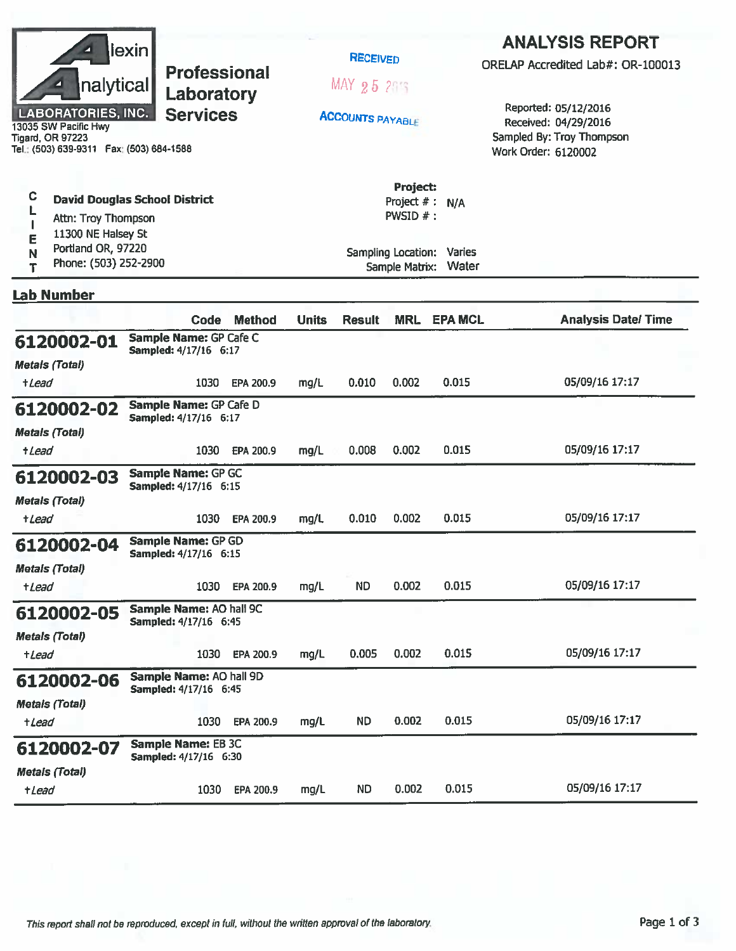| lexin <br><b>Professional</b><br>nalytical<br>Laboratory<br><b>LABORATORIES, INC.</b><br><b>Services</b><br>13035 SW Pacific Hwy<br><b>Tigard, OR 97223</b><br>Tel.: (503) 639-9311    Fax: (503) 684-1588 |  |                                                         |               |              | <b>RECEIVED</b><br>MAX 25 215<br><b>ACCOUNTS PAYABLE</b> |                                                                             |                                           | <b>ANALYSIS REPORT</b><br>ORELAP Accredited Lab#: OR-100013<br>Reported: 05/12/2016<br>Received: 04/29/2016<br>Sampled By: Troy Thompson<br>Work Order: 6120002 |  |  |
|------------------------------------------------------------------------------------------------------------------------------------------------------------------------------------------------------------|--|---------------------------------------------------------|---------------|--------------|----------------------------------------------------------|-----------------------------------------------------------------------------|-------------------------------------------|-----------------------------------------------------------------------------------------------------------------------------------------------------------------|--|--|
| C<br><b>David Douglas School District</b><br>Attn: Troy Thompson<br>11300 NE Halsey St<br>Е<br>Portland OR, 97220<br>N<br>Phone: (503) 252-2900<br>Т                                                       |  |                                                         |               |              |                                                          | Project:<br>Project $#$ :<br><b>PWSID <math>#</math>:</b><br>Sample Matrix: | N/A<br>Sampling Location: Varies<br>Water |                                                                                                                                                                 |  |  |
| <b>Lab Number</b>                                                                                                                                                                                          |  |                                                         |               |              |                                                          |                                                                             |                                           |                                                                                                                                                                 |  |  |
|                                                                                                                                                                                                            |  | Code                                                    | <b>Method</b> | <b>Units</b> | <b>Result</b>                                            | <b>MRL</b>                                                                  | <b>EPA MCL</b>                            | <b>Analysis Date/Time</b>                                                                                                                                       |  |  |
| 6120002-01<br><b>Metals (Total)</b>                                                                                                                                                                        |  | Sample Name: GP Cafe C<br>Sampled: 4/17/16 6:17         |               |              |                                                          |                                                                             |                                           |                                                                                                                                                                 |  |  |
| +Lead                                                                                                                                                                                                      |  | 1030                                                    | EPA 200.9     | mg/L         | 0.010                                                    | 0.002                                                                       | 0.015                                     | 05/09/16 17:17                                                                                                                                                  |  |  |
| 6120002-02<br><b>Metals (Total)</b><br><i><b>+Lead</b></i>                                                                                                                                                 |  | Sample Name: GP Cafe D<br>Sampled: 4/17/16 6:17<br>1030 | EPA 200.9     | mg/L         | 0.008                                                    | 0.002                                                                       | 0.015                                     | 05/09/16 17:17                                                                                                                                                  |  |  |
| 6120002-03<br><b>Metals (Total)</b>                                                                                                                                                                        |  | Sample Name: GP GC<br>Sampled: 4/17/16 6:15             |               |              |                                                          |                                                                             |                                           |                                                                                                                                                                 |  |  |
| +Lead                                                                                                                                                                                                      |  | 1030                                                    | EPA 200.9     | mg/L         | 0.010                                                    | 0.002                                                                       | 0.015                                     | 05/09/16 17:17                                                                                                                                                  |  |  |
| 6120002-04<br><b>Metals (Total)</b>                                                                                                                                                                        |  | <b>Sample Name: GP GD</b><br>Sampled: 4/17/16 6:15      |               |              |                                                          |                                                                             |                                           |                                                                                                                                                                 |  |  |
| +Lead                                                                                                                                                                                                      |  | 1030                                                    | EPA 200.9     | mg/L         | <b>ND</b>                                                | 0.002                                                                       | 0.015                                     | 05/09/16 17:17                                                                                                                                                  |  |  |
| 6120002-05                                                                                                                                                                                                 |  | Sample Name: AO hall 9C<br>Sampled: 4/17/16 6:45        |               |              |                                                          |                                                                             |                                           |                                                                                                                                                                 |  |  |
| <b>Metals (Total)</b><br>+Lead                                                                                                                                                                             |  | 1030                                                    | EPA 200.9     | mg/L         | 0.005                                                    | 0.002                                                                       | 0.015                                     | 05/09/16 17:17                                                                                                                                                  |  |  |
| 6120002-06<br><b>Metals (Total)</b>                                                                                                                                                                        |  | Sample Name: AO hall 9D<br>Sampled: 4/17/16 6:45        |               |              |                                                          |                                                                             |                                           |                                                                                                                                                                 |  |  |
| $t$ <i>Lead</i>                                                                                                                                                                                            |  | 1030                                                    | EPA 200.9     | mg/L         | <b>ND</b>                                                | 0.002                                                                       | 0.015                                     | 05/09/16 17:17                                                                                                                                                  |  |  |
| 6120002-07                                                                                                                                                                                                 |  | <b>Sample Name: EB 3C</b><br>Sampled: 4/17/16 6:30      |               |              |                                                          |                                                                             |                                           |                                                                                                                                                                 |  |  |
| <b>Metals (Total)</b><br>+Lead                                                                                                                                                                             |  | 1030                                                    | EPA 200.9     | mg/L         | <b>ND</b>                                                | 0.002                                                                       | 0.015                                     | 05/09/16 17:17                                                                                                                                                  |  |  |
|                                                                                                                                                                                                            |  |                                                         |               |              |                                                          |                                                                             |                                           |                                                                                                                                                                 |  |  |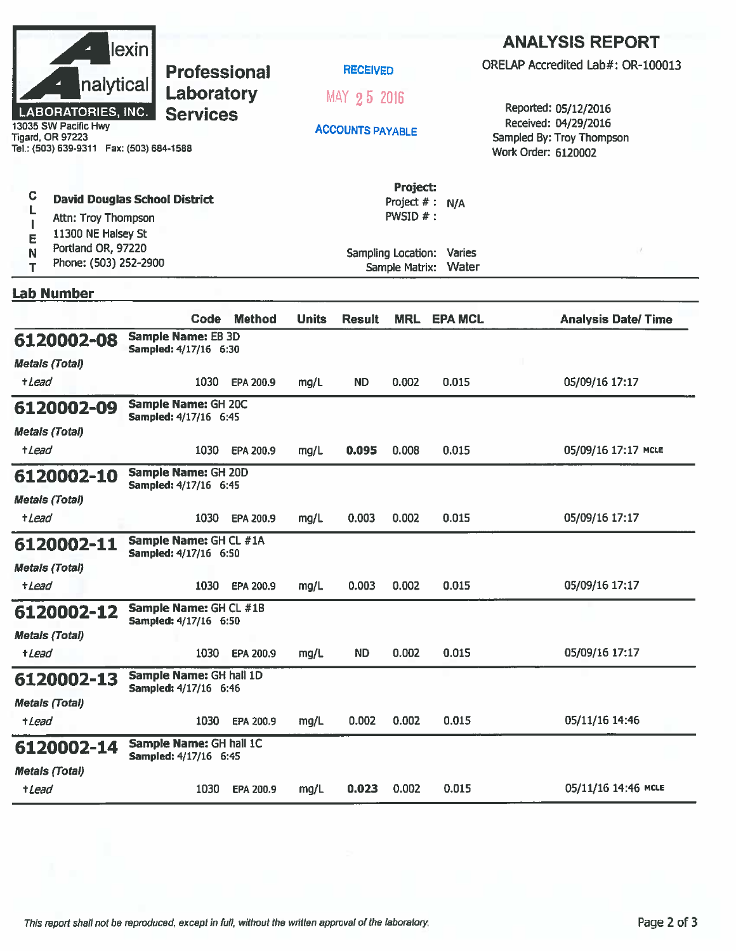|                                                                                              | lexin                                                  |               |                         |                                        |                                    |                                                                          | <b>ANALYSIS REPORT</b>            |  |
|----------------------------------------------------------------------------------------------|--------------------------------------------------------|---------------|-------------------------|----------------------------------------|------------------------------------|--------------------------------------------------------------------------|-----------------------------------|--|
|                                                                                              | <b>Professional</b>                                    |               |                         | <b>RECEIVED</b>                        |                                    |                                                                          | ORELAP Accredited Lab#: OR-100013 |  |
| nalytical<br><b>LABORATORIES, INC.</b>                                                       | Laboratory<br><b>Services</b>                          |               |                         | MAY 25 2016                            |                                    |                                                                          | Reported: 05/12/2016              |  |
| 13035 SW Pacific Hwy<br><b>Tigard, OR 97223</b><br>Tel.: (503) 639-9311  Fax: (503) 684-1588 |                                                        |               | <b>ACCOUNTS PAYABLE</b> |                                        |                                    | Received: 04/29/2016<br>Sampled By: Troy Thompson<br>Work Order: 6120002 |                                   |  |
| C<br><b>David Douglas School District</b><br>Attn: Troy Thompson<br>11300 NE Halsey St       |                                                        |               |                         | Project:<br>Project #: N/A<br>PWSID #: |                                    |                                                                          |                                   |  |
| E<br>Portland OR, 97220<br>N<br>Phone: (503) 252-2900<br>T                                   |                                                        |               |                         | Sample Matrix:                         | Sampling Location: Varies<br>Water |                                                                          |                                   |  |
| <b>Lab Number</b>                                                                            |                                                        |               |                         |                                        |                                    |                                                                          |                                   |  |
|                                                                                              | Code                                                   | <b>Method</b> | <b>Units</b>            | <b>Result</b>                          | <b>MRL</b>                         | <b>EPA MCL</b>                                                           | <b>Analysis Date/Time</b>         |  |
| 6120002-08<br><b>Metals (Total)</b>                                                          | <b>Sample Name: EB 3D</b><br>Sampled: 4/17/16 6:30     |               |                         |                                        |                                    |                                                                          |                                   |  |
| <i><b>+Lead</b></i>                                                                          | 1030                                                   | EPA 200.9     | mg/L                    | <b>ND</b>                              | 0.002                              | 0.015                                                                    | 05/09/16 17:17                    |  |
| 6120002-09                                                                                   | Sample Name: GH 20C<br>Sampled: 4/17/16 6:45           |               |                         |                                        |                                    |                                                                          |                                   |  |
| <b>Metals (Total)</b><br>+ <i>Lead</i>                                                       | 1030                                                   | EPA 200.9     | mg/L                    | 0.095                                  | 0.008                              | 0.015                                                                    | 05/09/16 17:17 MCLE               |  |
| 6120002-10                                                                                   | Sample Name: GH 20D<br>Sampled: 4/17/16 6:45           |               |                         |                                        |                                    |                                                                          |                                   |  |
| <b>Metals (Total)</b><br>+Lead                                                               | 1030                                                   | EPA 200.9     | mg/L                    | 0.003                                  | 0.002                              | 0.015                                                                    | 05/09/16 17:17                    |  |
| 6120002-11                                                                                   | Sample Name: GH CL #1A<br><b>Sampled: 4/17/16 6:50</b> |               |                         |                                        |                                    |                                                                          |                                   |  |
| <b>Metals (Total)</b><br>+Lead                                                               | 1030                                                   | EPA 200.9     | mg/L                    | 0.003                                  | 0.002                              | 0.015                                                                    | 05/09/16 17:17                    |  |
| 6120002-12                                                                                   | Sample Name: GH CL #1B<br>Sampled: 4/17/16 6:50        |               |                         |                                        |                                    |                                                                          |                                   |  |
| <b>Metals (Total)</b>                                                                        |                                                        |               |                         |                                        |                                    |                                                                          |                                   |  |
| +Lead                                                                                        | 1030                                                   | EPA 200.9     | mg/L                    | ND.                                    | 0.002                              | 0.015                                                                    | 05/09/16 17:17                    |  |
| 6120002-13                                                                                   | Sample Name: GH hall 1D<br>Sampled: 4/17/16 6:46       |               |                         |                                        |                                    |                                                                          |                                   |  |
| <b>Metals (Total)</b><br>+Lead                                                               | 1030                                                   | EPA 200.9     | mg/L                    | 0.002                                  | 0.002                              | 0.015                                                                    | 05/11/16 14:46                    |  |
| 6120002-14                                                                                   | Sample Name: GH hall 1C                                |               |                         |                                        |                                    |                                                                          |                                   |  |
| <b>Metals (Total)</b>                                                                        | Sampled: 4/17/16 6:45                                  |               |                         |                                        |                                    |                                                                          |                                   |  |
| +Lead                                                                                        | 1030                                                   | EPA 200.9     | mg/L                    | 0.023                                  | 0.002                              | 0.015                                                                    | 05/11/16 14:46 MCLE               |  |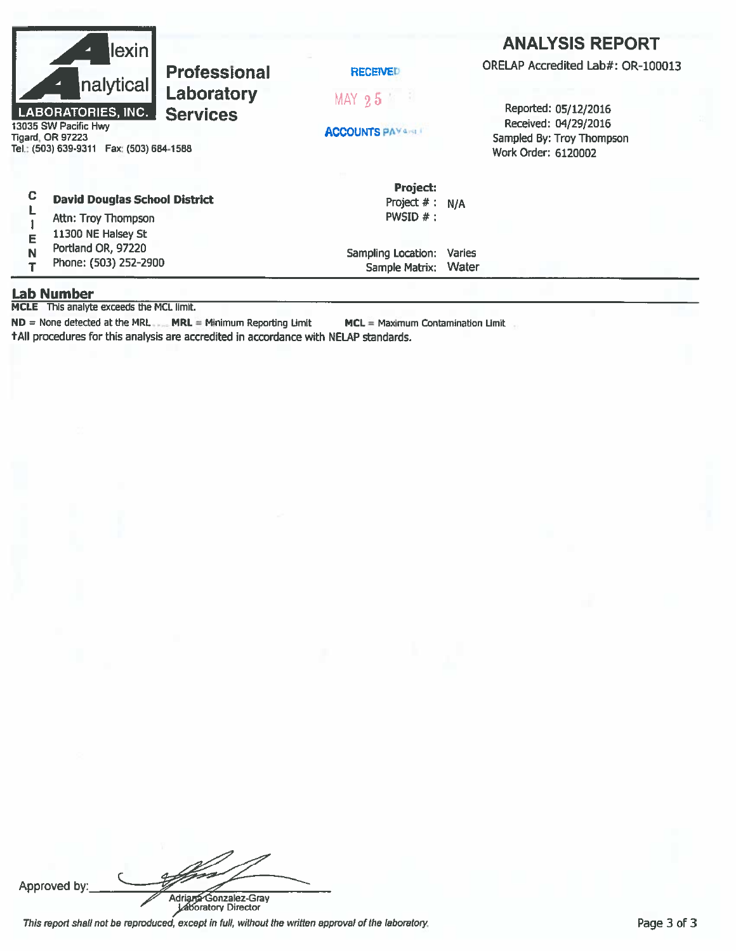| z<br>◢ | lexin                                                                                                                                  | <b>Professional</b> | <b>RECEIVED</b>                              | <b>ANALYSIS REPORT</b><br>ORELAP Accredited Lab#: OR-100013                                      |  |  |
|--------|----------------------------------------------------------------------------------------------------------------------------------------|---------------------|----------------------------------------------|--------------------------------------------------------------------------------------------------|--|--|
|        | nalytical                                                                                                                              | Laboratory          | $MAX$ 25                                     |                                                                                                  |  |  |
|        | LABORATORIES, INC.<br><b>Services</b><br>13035 SW Pacific Hwy<br><b>Tigard, OR 97223</b><br>Tel.: (503) 639-9311   Fax: (503) 684-1588 |                     | <b>ACCOUNTS PAYAREL</b>                      | Reported: 05/12/2016<br>Received: 04/29/2016<br>Sampled By: Troy Thompson<br>Work Order: 6120002 |  |  |
| c<br>Е | <b>David Douglas School District</b><br>Attn: Troy Thompson<br>11300 NE Halsey St                                                      |                     | Project:<br>Project $# : N/A$<br>PWSID $#$ : |                                                                                                  |  |  |

Sampling Location: Varies

Sample Matrix: Water

Portland OR, 97220  $\mathbb N$ 

Phone: (503) 252-2900  $\mathsf T$ 

#### **Lab Number**

MCLE This analyte exceeds the MCL limit.

 $ND = None$  detected at the MRL  $\Box$  MRL = Minimum Reporting Limit  $MCL =$  Maximum Contamination Limit +All procedures for this analysis are accredited in accordance with NELAP standards.

Approved by

Adriana Gonzalez-Gray This report shall not be reproduced, except in full, without the written approval of the laboratory.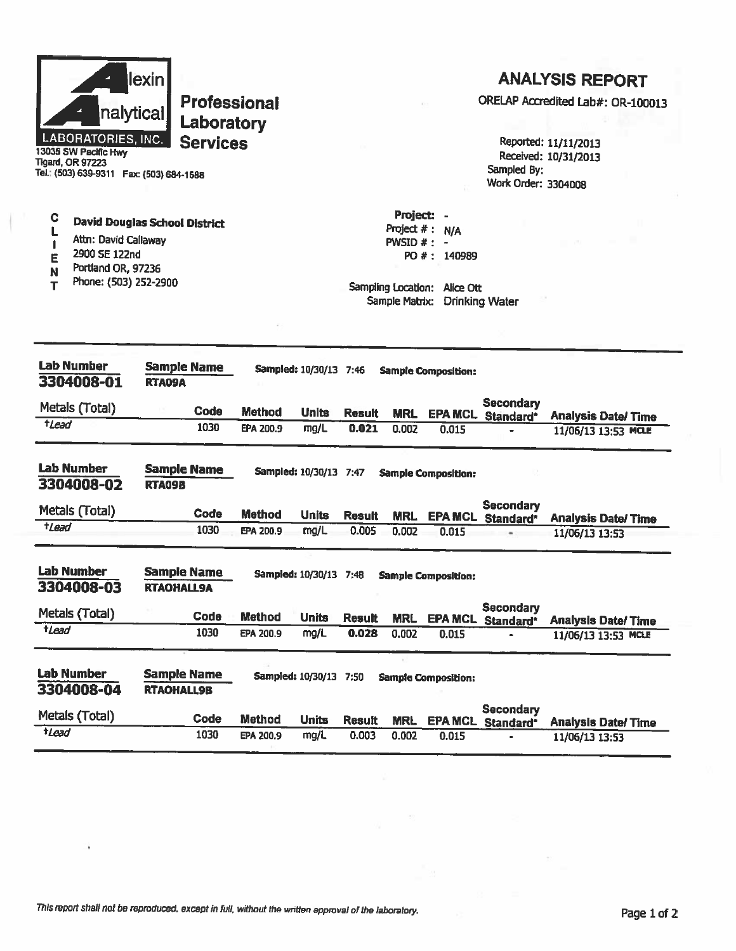

**Professional** Laboratory **Services** 

### **ANALYSIS REPORT**

ORELAP Accredited Lab#: OR-100013

Reported: 11/11/2013 Received: 10/31/2013 Sampled By: Work Order: 3304008

Tel.: (503) 639-9311 Fax: (503) 684-1588

- $\mathbf C$ **David Douglas School District** L
- Attn: David Callaway  $\mathbf{I}$
- 2900 SE 122nd E

**Tigard, OR 97223** 

- Portland OR, 97236  $\overline{\mathsf{N}}$
- Phone: (503) 252-2900  $\mathbf{T}$

Project: -Project  $# : N/A$ PWSID  $#$  : -PO #: 140989

Sampling Location: Alice Ott Sample Matrix: Drinking Water

| <b>Lab Number</b><br>3304008-01 | <b>Sample Name</b><br>RTA09A            |               | <b>Sampled: 10/30/13 7:46</b> |               |            | <b>Sample Composition:</b> |                               |                                                  |
|---------------------------------|-----------------------------------------|---------------|-------------------------------|---------------|------------|----------------------------|-------------------------------|--------------------------------------------------|
| Metals (Total)                  | Code                                    | <b>Method</b> | <b>Units</b>                  | <b>Result</b> | <b>MRL</b> | <b>EPA MCL</b>             | <b>Secondary</b><br>Standard* | <b>Analysis Date/Time</b>                        |
| $t$ Lead                        | 1030                                    | EPA 200.9     | mg/L                          | 0.021         | 0.002      | 0.015                      |                               | 11/06/13 13:53 MCLE                              |
| <b>Lab Number</b><br>3304008-02 | <b>Sample Name</b><br><b>RTA09B</b>     |               | Sampled: 10/30/13 7:47        |               |            | <b>Sample Composition:</b> |                               |                                                  |
| Metals (Total)                  | Code                                    | <b>Method</b> | <b>Units</b>                  | <b>Result</b> | <b>MRL</b> | <b>EPA MCL</b>             | <b>Secondary</b><br>Standard* | <b>Analysis Date/Time</b>                        |
| $t$ <i>Lead</i>                 | 1030                                    | EPA 200.9     | mg/L                          | 0.005         | 0.002      | 0.015                      |                               | 11/06/13 13:53                                   |
| <b>Lab Number</b><br>3304008-03 | <b>Sample Name</b><br><b>RTAOHALL9A</b> |               | Sampled: 10/30/13 7:48        |               |            | <b>Sample Composition:</b> |                               |                                                  |
| Metals (Total)                  | Code                                    | <b>Method</b> |                               |               |            |                            | <b>Secondary</b>              |                                                  |
|                                 |                                         |               | <b>Units</b>                  | <b>Result</b> | <b>MRL</b> | <b>EPA MCL</b>             |                               |                                                  |
| tLead                           | 1030                                    | EPA 200.9     | mg/L                          | 0.028         | 0.002      | 0.015                      | Standard*                     | <b>Analysis Date/Time</b><br>11/06/13 13:53 MCLE |
| <b>Lab Number</b><br>3304008-04 | <b>Sample Name</b><br><b>RTAOHALL9B</b> |               | <b>Sampled: 10/30/13</b>      | 7:50          |            | <b>Sample Composition:</b> |                               |                                                  |
| Metals (Total)                  | Code                                    | <b>Method</b> | <b>Units</b>                  | <b>Result</b> | <b>MRL</b> | <b>EPA MCL</b>             | Secondary<br>Standard*        | <b>Analysis Date/Time</b>                        |

This report shall not be reproduced, except in full, without the written approval of the laboratory.